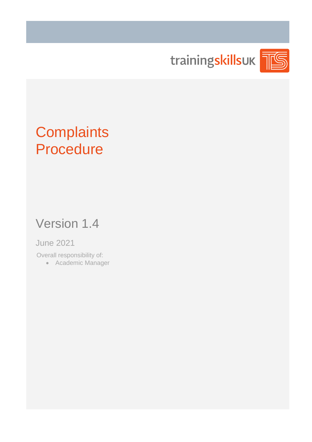

# **Complaints** Procedure

## Version 1.4

### June 2021

Overall responsibility of:

• Academic Manager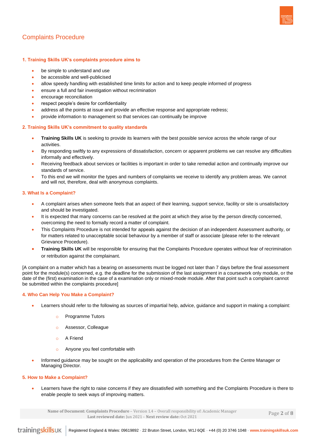

#### **1. Training Skills UK's complaints procedure aims to**

- be simple to understand and use
- be accessible and well-publicised
- allow speedy handling with established time limits for action and to keep people informed of progress
- ensure a full and fair investigation without recrimination
- encourage reconciliation
- respect people's desire for confidentiality
- address all the points at issue and provide an effective response and appropriate redress;
- provide information to management so that services can continually be improve

#### **2. Training Skills UK's commitment to quality standards**

- **Training Skills UK** is seeking to provide its learners with the best possible service across the whole range of our activities.
- By responding swiftly to any expressions of dissatisfaction, concern or apparent problems we can resolve any difficulties informally and effectively.
- Receiving feedback about services or facilities is important in order to take remedial action and continually improve our standards of service.
- To this end we will monitor the types and numbers of complaints we receive to identify any problem areas. We cannot and will not, therefore, deal with anonymous complaints.

#### **3. What Is a Complaint?**

- A complaint arises when someone feels that an aspect of their learning, support service, facility or site is unsatisfactory and should be investigated.
- It is expected that many concerns can be resolved at the point at which they arise by the person directly concerned, overcoming the need to formally record a matter of complaint.
- This Complaints Procedure is not intended for appeals against the decision of an independent Assessment authority, or for matters related to unacceptable social behaviour by a member of staff or associate (please refer to the relevant Grievance Procedure).
- **Training Skills UK** will be responsible for ensuring that the Complaints Procedure operates without fear of recrimination or retribution against the complainant.

[A complaint on a matter which has a bearing on assessments must be logged not later than 7 days before the final assessment point for the module(s) concerned, e.g. the deadline for the submission of the last assignment in a coursework only module, or the date of the (first) examination in the case of a examination only or mixed-mode module. After that point such a complaint cannot be submitted within the complaints procedure]

#### **4. Who Can Help You Make a Complaint?**

- Learners should refer to the following as sources of impartial help, advice, guidance and support in making a complaint:
	- Programme Tutors
	- o Assessor, Colleague
	- o A Friend
	- o Anyone you feel comfortable with
- Informed guidance may be sought on the applicability and operation of the procedures from the Centre Manager or Managing Director.

#### **5. How to Make a Complaint?**

• Learners have the right to raise concerns if they are dissatisfied with something and the Complaints Procedure is there to enable people to seek ways of improving matters.

**Name of Document: Complaints Procedure** – Version 1.4 – Overall responsibility of: Academic Manager **Last reviewed date:** Jun 2021 – **Next review date:** Oct 2021

Page **2** of **8**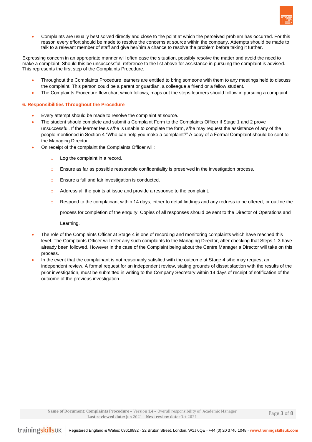

• Complaints are usually best solved directly and close to the point at which the perceived problem has occurred. For this reason every effort should be made to resolve the concerns at source within the company. Attempts should be made to talk to a relevant member of staff and give her/him a chance to resolve the problem before taking it further.

Expressing concern in an appropriate manner will often ease the situation, possibly resolve the matter and avoid the need to make a complaint. Should this be unsuccessful, reference to the list above for assistance in pursuing the complaint is advised. This represents the first step of the Complaints Procedure.

- Throughout the Complaints Procedure learners are entitled to bring someone with them to any meetings held to discuss the complaint. This person could be a parent or guardian, a colleague a friend or a fellow student.
- The Complaints Procedure flow chart which follows, maps out the steps learners should follow in pursuing a complaint.

#### **6. Responsibilities Throughout the Procedure**

- Every attempt should be made to resolve the complaint at source.
- The student should complete and submit a Complaint Form to the Complaints Officer if Stage 1 and 2 prove unsuccessful. If the learner feels s/he is unable to complete the form, s/he may request the assistance of any of the people mentioned in Section 4 "Who can help you make a complaint?" A copy of a Formal Complaint should be sent to the Managing Director.
- On receipt of the complaint the Complaints Officer will:
	- o Log the complaint in a record.
	- $\circ$  Ensure as far as possible reasonable confidentiality is preserved in the investigation process.
	- o Ensure a full and fair investigation is conducted.
	- o Address all the points at issue and provide a response to the complaint.
	- $\circ$  Respond to the complainant within 14 days, either to detail findings and any redress to be offered, or outline the

process for completion of the enquiry. Copies of all responses should be sent to the Director of Operations and

Learning.

- The role of the Complaints Officer at Stage 4 is one of recording and monitoring complaints which have reached this level. The Complaints Officer will refer any such complaints to the Managing Director, after checking that Steps 1-3 have already been followed. However in the case of the Complaint being about the Centre Manager a Director will take on this process.
- In the event that the complainant is not reasonably satisfied with the outcome at Stage 4 s/he may request an independent review. A formal request for an independent review, stating grounds of dissatisfaction with the results of the prior investigation, must be submitted in writing to the Company Secretary within 14 days of receipt of notification of the outcome of the previous investigation.

**Name of Document: Complaints Procedure** – Version 1.4 – Overall responsibility of: Academic Manager **Last reviewed date:** Jun 2021 – **Next review date:** Oct 2021

Page **3** of **8**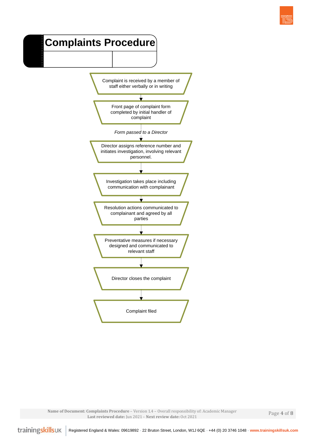### **Complaints Procedure**



**Name of Document: Complaints Procedure** – Version 1.4 – Overall responsibility of: Academic Manager **Last reviewed date:** Jun 2021 – **Next review date:** Oct 2021

Page **4** of **8**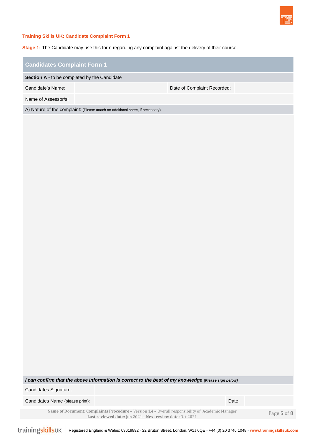

#### **Training Skills UK: Candidate Complaint Form 1**

**Stage 1:** The Candidate may use this form regarding any complaint against the delivery of their course.

#### **Candidates Complaint Form 1**

**Section A -** to be completed by the Candidate

Candidate's Name: Date of Complaint Recorded:

Name of Assessor/s:

A) Nature of the complaint: (Please attach an additional sheet, if necessary)

*I can confirm that the above information is correct to the best of my knowledge (Please sign below)* 

Candidates Signature:

Candidates Name (please print): Date: Date: Date: Date: Date: Date: Date: Date: Date: Date: Date: Date: Date: Date: Date: Date: Date: Date: Date: Date: Date: Date: Date: Date: Date: Date: Date: Date: Date: Date: Date: Date

**Name of Document: Complaints Procedure** – Version 1.4 – Overall responsibility of: Academic Manager **Last reviewed date:** Jun 2021 – **Next review date:** Oct 2021

Page **5** of **8**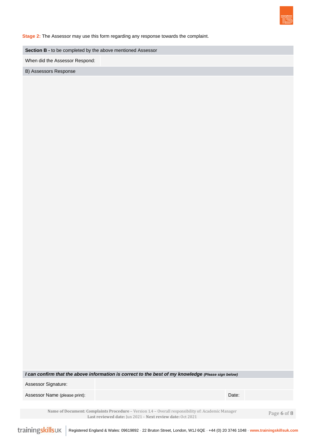

**Stage 2:** The Assessor may use this form regarding any response towards the complaint.

**Section B -** to be completed by the above mentioned Assessor

When did the Assessor Respond:

B) Assessors Response

*I can confirm that the above information is correct to the best of my knowledge (Please sign below)* 

Assessor Signature:

Assessor Name (please print): Date: Date: Date: Date: Date: Date: Date: Date: Date: Date: Date: Date: Date: Date: Date: Date: Date: Date: Date: Date: Date: Date: Date: Date: Date: Date: Date: Date: Date: Date: Date: Date:

**Name of Document: Complaints Procedure** – Version 1.4 – Overall responsibility of: Academic Manager **Last reviewed date:** Jun 2021 – **Next review date:** Oct 2021

Page **6** of **8**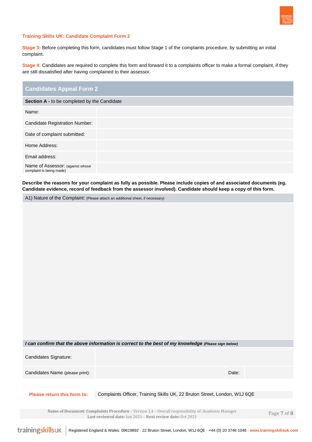

#### **Training Skills UK: Candidate Complaint Form 2**

**Stage 3:** Before completing this form, candidates must follow Stage 1 of the complaints procedure, by submitting an initial complaint.

**Stage 4:** Candidates are required to complete this form and forward it to a complaints officer to make a formal complaint, if they are still dissatisfied after having complained to their assessor.

| <b>Candidates Appeal Form 2</b>                              |
|--------------------------------------------------------------|
| Section A - to be completed by the Candidate                 |
| Name:                                                        |
| <b>Candidate Registration Number:</b>                        |
| Date of complaint submitted:                                 |
| Home Address:                                                |
| Email address:                                               |
| Name of Assessor: (against whose<br>complaint is being made) |

**Describe the reasons for your complaint as fully as possible. Please include copies of and associated documents (eg. Candidate evidence, record of feedback from the assessor involved). Candidate should keep a copy of this form.**

A1) Nature of the Complaint: (Please attach an additional sheet, if necessary)

| I can confirm that the above information is correct to the best of my knowledge (Please sign below) |                                                                                                                                                                 |             |  |  |  |  |  |  |
|-----------------------------------------------------------------------------------------------------|-----------------------------------------------------------------------------------------------------------------------------------------------------------------|-------------|--|--|--|--|--|--|
| Candidates Signature:                                                                               |                                                                                                                                                                 |             |  |  |  |  |  |  |
| Candidates Name (please print):                                                                     | Date:                                                                                                                                                           |             |  |  |  |  |  |  |
|                                                                                                     |                                                                                                                                                                 |             |  |  |  |  |  |  |
| Please return this form to:                                                                         | Complaints Officer, Training Skills UK, 22 Bruton Street, London, W1J 6QE                                                                                       |             |  |  |  |  |  |  |
|                                                                                                     |                                                                                                                                                                 |             |  |  |  |  |  |  |
|                                                                                                     | Name of Document: Complaints Procedure – Version 1.4 – Overall responsibility of: Academic Manager<br>Last reviewed date: Jun 2021 - Next review date: Oct 2021 | Page 7 of 8 |  |  |  |  |  |  |

trainingskillsuk Registered England & Wales: 09619892 **-** 22 Bruton Street, London, W1J 6QE **-** +44 (0) 20 3746 1048 **- www.trainingskillsuk.com**